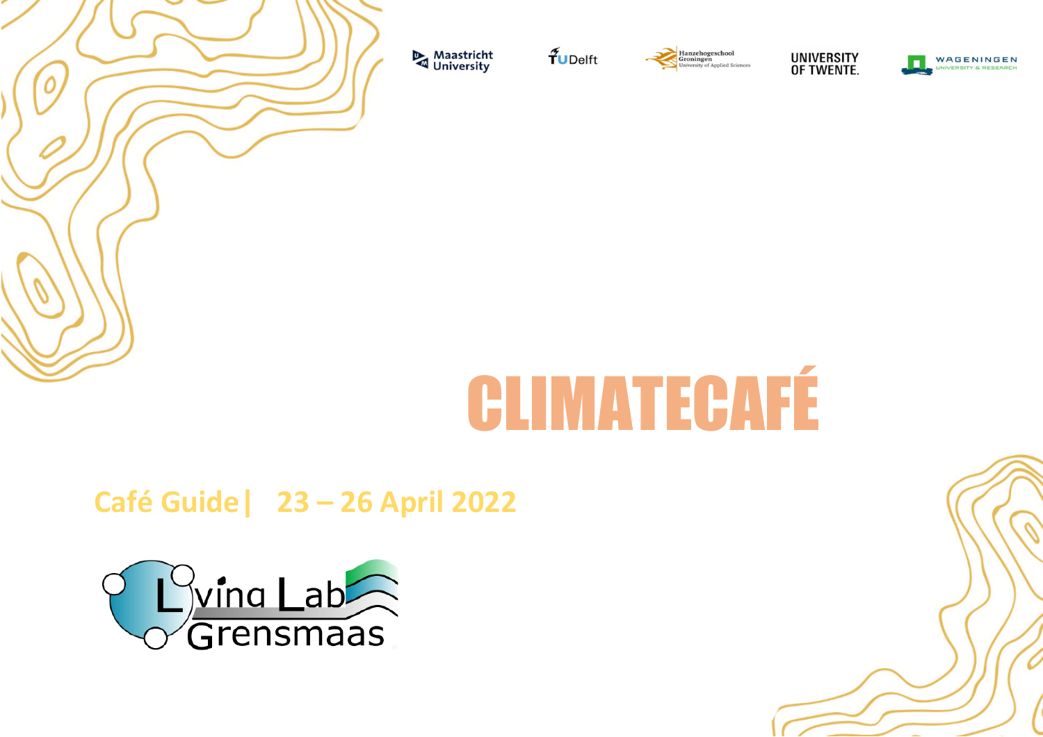

Maastricht<br>University

 $\tilde{\mathbf{f}}$ UDelft





WAGENINGEN VEDEITY & DESEARCH



**Café Guide| 23 – 26 April 2022**

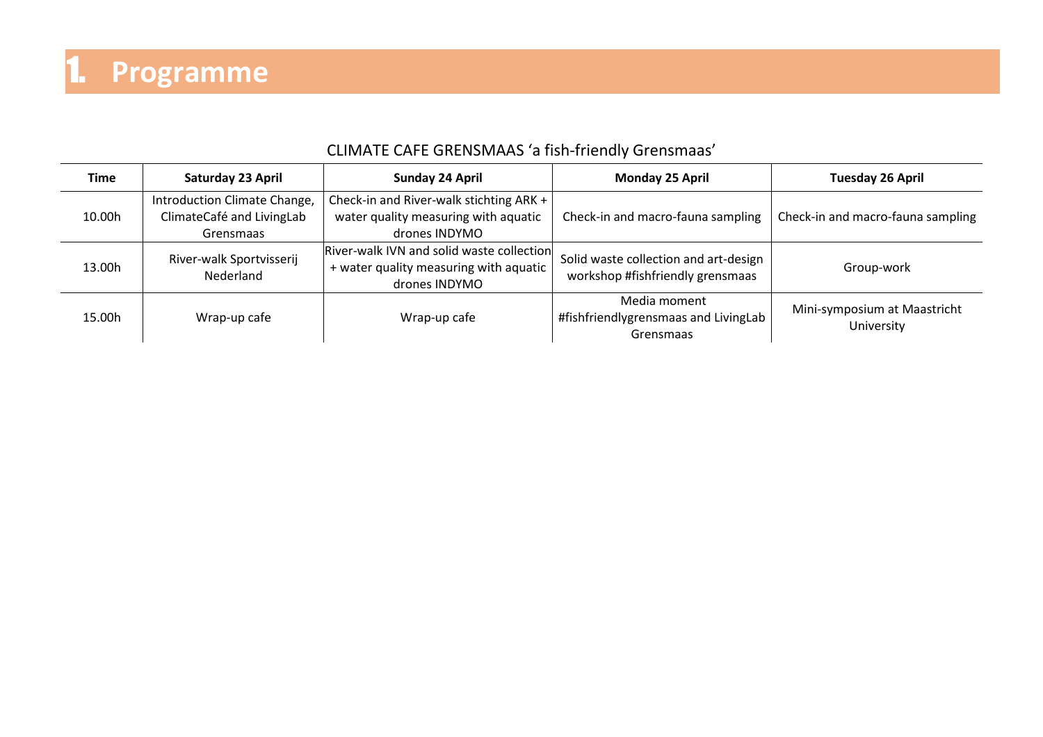### CLIMATE CAFE GRENSMAAS 'a fish-friendly Grensmaas'

| <b>Time</b> | Saturday 23 April                                                      | <b>Sunday 24 April</b>                                                                                 | <b>Monday 25 April</b>                                                    | Tuesday 26 April                           |
|-------------|------------------------------------------------------------------------|--------------------------------------------------------------------------------------------------------|---------------------------------------------------------------------------|--------------------------------------------|
| 10.00h      | Introduction Climate Change,<br>ClimateCafé and LivingLab<br>Grensmaas | Check-in and River-walk stichting ARK +<br>water quality measuring with aquatic<br>drones INDYMO       | Check-in and macro-fauna sampling                                         | Check-in and macro-fauna sampling          |
| 13.00h      | River-walk Sportvisserij<br>Nederland                                  | River-walk IVN and solid waste collection<br>+ water quality measuring with aquatic  <br>drones INDYMO | Solid waste collection and art-design<br>workshop #fishfriendly grensmaas | Group-work                                 |
| 15.00h      | Wrap-up cafe                                                           | Wrap-up cafe                                                                                           | Media moment<br>#fishfriendlygrensmaas and LivingLab<br>Grensmaas         | Mini-symposium at Maastricht<br>University |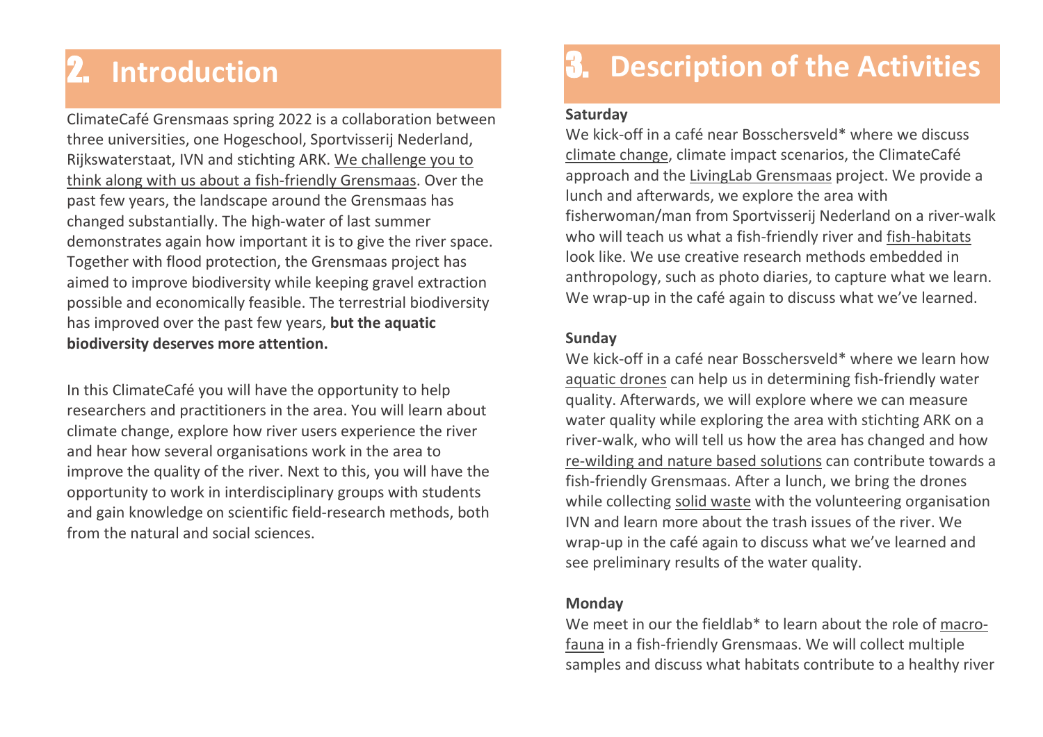## 2. **Introduction**

ClimateCafé Grensmaas spring 2022 is a collaboration between three universities, one Hogeschool, Sportvisserij Nederland, Rijkswaterstaat, IVN and stichting ARK. We challenge you to think along with us about a fish-friendly Grensmaas. Over the past few years, the landscape around the Grensmaas has changed substantially. The high-water of last summer demonstrates again how important it is to give the river space. Together with flood protection, the Grensmaas project has aimed to improve biodiversity while keeping gravel extraction possible and economically feasible. The terrestrial biodiversity has improved over the past few years, **but the aquatic biodiversity deserves more attention.**

In this ClimateCafé you will have the opportunity to help researchers and practitioners in the area. You will learn about climate change, explore how river users experience the river and hear how several organisations work in the area to improve the quality of the river. Next to this, you will have the opportunity to work in interdisciplinary groups with students and gain knowledge on scientific field-research methods, both from the natural and social sciences.

## 3. **Description of the Activities**

#### **Saturday**

We kick-off in a café near Bosschersveld\* where we discuss climate change, climate impact scenarios, the ClimateCafé approach and the LivingLab Grensmaas project. We provide a lunch and afterwards, we explore the area with fisherwoman/man from Sportvisserij Nederland on a river-walk who will teach us what a fish-friendly river and fish-habitats look like. We use creative research methods embedded in anthropology, such as photo diaries, to capture what we learn. We wrap-up in the café again to discuss what we've learned.

### **Sunday**

We kick-off in a café near Bosschersveld\* where we learn how aquatic drones can help us in determining fish-friendly water quality. Afterwards, we will explore where we can measure water quality while exploring the area with stichting ARK on a river-walk, who will tell us how the area has changed and how re-wilding and nature based solutions can contribute towards a fish-friendly Grensmaas. After a lunch, we bring the drones while collecting solid waste with the volunteering organisation IVN and learn more about the trash issues of the river. We wrap-up in the café again to discuss what we've learned and see preliminary results of the water quality.

#### **Monday**

We meet in our the fieldlab<sup>\*</sup> to learn about the role of macrofauna in a fish-friendly Grensmaas. We will collect multiple samples and discuss what habitats contribute to a healthy river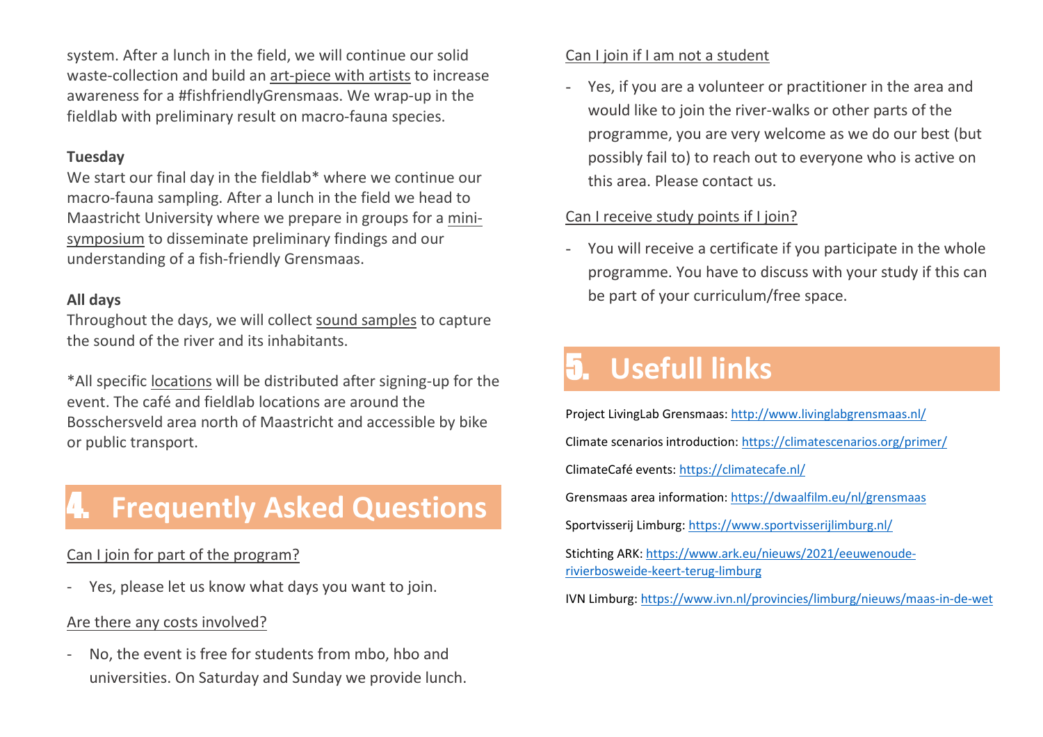system. After a lunch in the field, we will continue our solid waste-collection and build an art-piece with artists to increase awareness for a #fishfriendlyGrensmaas. We wrap-up in the fieldlab with preliminary result on macro-fauna species.

### **Tuesday**

We start our final day in the fieldlab\* where we continue our macro-fauna sampling. After a lunch in the field we head to Maastricht University where we prepare in groups for a minisymposium to disseminate preliminary findings and our understanding of a fish-friendly Grensmaas.

### **All days**

Throughout the days, we will collect sound samples to capture the sound of the river and its inhabitants.

\*All specific locations will be distributed after signing-up for the event. The café and fieldlab locations are around the Bosschersveld area north of Maastricht and accessible by bike or public transport.

### 4. **Frequently Asked Questions**

### Can I join for part of the program?

Yes, please let us know what days you want to join.

### Are there any costs involved?

- No, the event is free for students from mbo, hbo and universities. On Saturday and Sunday we provide lunch.

### Can I join if I am not a student

- Yes, if you are a volunteer or practitioner in the area and would like to join the river-walks or other parts of the programme, you are very welcome as we do our best (but possibly fail to) to reach out to everyone who is active on this area. Please contact us.

### Can I receive study points if I join?

- You will receive a certificate if you participate in the whole programme. You have to discuss with your study if this can be part of your curriculum/free space.

## 5. **Usefull links**

Project LivingLab Grensmaas:<http://www.livinglabgrensmaas.nl/> Climate scenarios introduction[: https://climatescenarios.org/primer/](https://climatescenarios.org/primer/) ClimateCafé events:<https://climatecafe.nl/> Grensmaas area information:<https://dwaalfilm.eu/nl/grensmaas> Sportvisserij Limburg:<https://www.sportvisserijlimburg.nl/> Stichting ARK[: https://www.ark.eu/nieuws/2021/eeuwenoude](https://www.ark.eu/nieuws/2021/eeuwenoude-rivierbosweide-keert-terug-limburg)[rivierbosweide-keert-terug-limburg](https://www.ark.eu/nieuws/2021/eeuwenoude-rivierbosweide-keert-terug-limburg) IVN Limburg:<https://www.ivn.nl/provincies/limburg/nieuws/maas-in-de-wet>